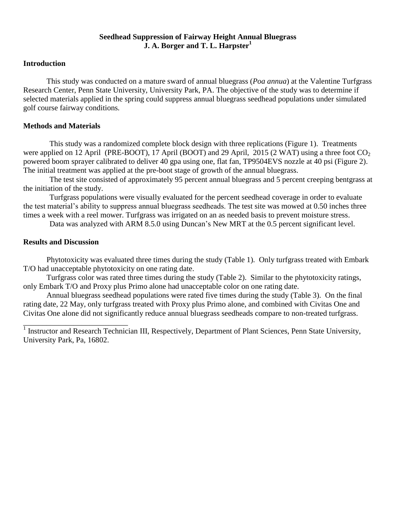## **Seedhead Suppression of Fairway Height Annual Bluegrass J. A. Borger and T. L. Harpster<sup>1</sup>**

## **Introduction**

This study was conducted on a mature sward of annual bluegrass (*Poa annua*) at the Valentine Turfgrass Research Center, Penn State University, University Park, PA. The objective of the study was to determine if selected materials applied in the spring could suppress annual bluegrass seedhead populations under simulated golf course fairway conditions*.*

## **Methods and Materials**

This study was a randomized complete block design with three replications (Figure 1). Treatments were applied on 12 April (PRE-BOOT), 17 April (BOOT) and 29 April, 2015 (2 WAT) using a three foot  $CO<sub>2</sub>$ powered boom sprayer calibrated to deliver 40 gpa using one, flat fan, TP9504EVS nozzle at 40 psi (Figure 2). The initial treatment was applied at the pre-boot stage of growth of the annual bluegrass.

The test site consisted of approximately 95 percent annual bluegrass and 5 percent creeping bentgrass at the initiation of the study.

Turfgrass populations were visually evaluated for the percent seedhead coverage in order to evaluate the test material's ability to suppress annual bluegrass seedheads. The test site was mowed at 0.50 inches three times a week with a reel mower. Turfgrass was irrigated on an as needed basis to prevent moisture stress.

Data was analyzed with ARM 8.5.0 using Duncan's New MRT at the 0.5 percent significant level.

## **Results and Discussion**

Phytotoxicity was evaluated three times during the study (Table 1). Only turfgrass treated with Embark T/O had unacceptable phytotoxicity on one rating date.

Turfgrass color was rated three times during the study (Table 2). Similar to the phytotoxicity ratings, only Embark T/O and Proxy plus Primo alone had unacceptable color on one rating date.

Annual bluegrass seedhead populations were rated five times during the study (Table 3). On the final rating date, 22 May, only turfgrass treated with Proxy plus Primo alone, and combined with Civitas One and Civitas One alone did not significantly reduce annual bluegrass seedheads compare to non-treated turfgrass.

<sup>1</sup> Instructor and Research Technician III, Respectively, Department of Plant Sciences, Penn State University, University Park, Pa, 16802.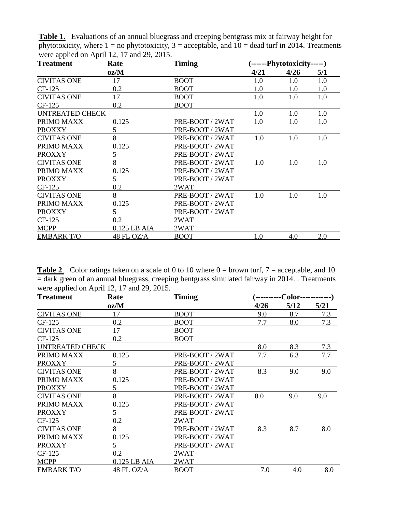| <b>Treatment</b>   | Rate         | <b>Timing</b>   | (------Phytotoxicity-----) |      |     |  |
|--------------------|--------------|-----------------|----------------------------|------|-----|--|
|                    | oz/M         |                 | 4/21                       | 4/26 | 5/1 |  |
| <b>CIVITAS ONE</b> | 17           | <b>BOOT</b>     | 1.0                        | 1.0  | 1.0 |  |
| CF-125             | 0.2          | <b>BOOT</b>     | 1.0                        | 1.0  | 1.0 |  |
| <b>CIVITAS ONE</b> | 17           | <b>BOOT</b>     | 1.0                        | 1.0  | 1.0 |  |
| CF-125             | 0.2          | <b>BOOT</b>     |                            |      |     |  |
| UNTREATED CHECK    |              |                 | 1.0                        | 1.0  | 1.0 |  |
| PRIMO MAXX         | 0.125        | PRE-BOOT / 2WAT | 1.0                        | 1.0  | 1.0 |  |
| <b>PROXXY</b>      | 5            | PRE-BOOT / 2WAT |                            |      |     |  |
| <b>CIVITAS ONE</b> | 8            | PRE-BOOT / 2WAT | 1.0                        | 1.0  | 1.0 |  |
| PRIMO MAXX         | 0.125        | PRE-BOOT / 2WAT |                            |      |     |  |
| <b>PROXXY</b>      | 5            | PRE-BOOT / 2WAT |                            |      |     |  |
| <b>CIVITAS ONE</b> | 8            | PRE-BOOT / 2WAT | 1.0                        | 1.0  | 1.0 |  |
| PRIMO MAXX         | 0.125        | PRE-BOOT / 2WAT |                            |      |     |  |
| <b>PROXXY</b>      | 5            | PRE-BOOT / 2WAT |                            |      |     |  |
| CF-125             | 0.2          | 2WAT            |                            |      |     |  |
| <b>CIVITAS ONE</b> | 8            | PRE-BOOT / 2WAT | 1.0                        | 1.0  | 1.0 |  |
| PRIMO MAXX         | 0.125        | PRE-BOOT / 2WAT |                            |      |     |  |
| <b>PROXXY</b>      | 5            | PRE-BOOT / 2WAT |                            |      |     |  |
| CF-125             | 0.2          | 2WAT            |                            |      |     |  |
| <b>MCPP</b>        | 0.125 LB AIA | 2WAT            |                            |      |     |  |
| <b>EMBARK T/O</b>  | 48 FL OZ/A   | <b>BOOT</b>     | 1.0                        | 4.0  | 2.0 |  |

**Table 1**. Evaluations of an annual bluegrass and creeping bentgrass mix at fairway height for phytotoxicity, where  $1 =$  no phytotoxicity,  $3 =$  acceptable, and  $10 =$  dead turf in 2014. Treatments were applied on April 12, 17 and 29, 2015.

**Table 2.** Color ratings taken on a scale of 0 to 10 where  $0 =$  brown turf,  $7 =$  acceptable, and 10  $=$  dark green of an annual bluegrass, creeping bentgrass simulated fairway in 2014. . Treatments were applied on April 12, 17 and 29, 2015.

| <b>Treatment</b>   | Rate         | <b>Timing</b>   | <b>-Color--</b> |      |      |  |
|--------------------|--------------|-----------------|-----------------|------|------|--|
|                    | oz/M         |                 | 4/26            | 5/12 | 5/21 |  |
| <b>CIVITAS ONE</b> | 17           | <b>BOOT</b>     | 9.0             | 8.7  | 7.3  |  |
| CF-125             | 0.2          | <b>BOOT</b>     | 7.7             | 8.0  | 7.3  |  |
| <b>CIVITAS ONE</b> | 17           | <b>BOOT</b>     |                 |      |      |  |
| $CF-125$           | 0.2          | <b>BOOT</b>     |                 |      |      |  |
| UNTREATED CHECK    |              | 8.0             | 8.3             | 7.3  |      |  |
| PRIMO MAXX         | 0.125        | PRE-BOOT / 2WAT | 7.7             | 6.3  | 7.7  |  |
| <b>PROXXY</b>      | 5            | PRE-BOOT / 2WAT |                 |      |      |  |
| <b>CIVITAS ONE</b> | 8            | PRE-BOOT / 2WAT | 8.3             | 9.0  | 9.0  |  |
| PRIMO MAXX         | 0.125        | PRE-BOOT / 2WAT |                 |      |      |  |
| <b>PROXXY</b>      | 5            | PRE-BOOT / 2WAT |                 |      |      |  |
| <b>CIVITAS ONE</b> | 8            | PRE-BOOT / 2WAT | 8.0             | 9.0  | 9.0  |  |
| PRIMO MAXX         | 0.125        | PRE-BOOT / 2WAT |                 |      |      |  |
| <b>PROXXY</b>      | 5            | PRE-BOOT / 2WAT |                 |      |      |  |
| $CF-125$           | 0.2          | 2WAT            |                 |      |      |  |
| <b>CIVITAS ONE</b> | 8            | PRE-BOOT / 2WAT | 8.3             | 8.7  | 8.0  |  |
| PRIMO MAXX         | 0.125        | PRE-BOOT / 2WAT |                 |      |      |  |
| <b>PROXXY</b>      | 5            | PRE-BOOT / 2WAT |                 |      |      |  |
| CF-125             | 0.2          | 2WAT            |                 |      |      |  |
| <b>MCPP</b>        | 0.125 LB AIA | 2WAT            |                 |      |      |  |
| <b>EMBARK T/O</b>  | 48 FL OZ/A   | <b>BOOT</b>     | 7.0             | 4.0  | 8.0  |  |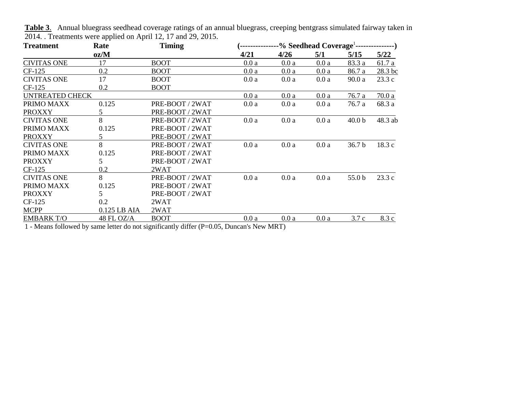| <b>Treatment</b>       | Rate            | <b>Timing</b>   | -% Seedhead Coverage <sup>1</sup> --<br>-------) |      |      |                   |         |
|------------------------|-----------------|-----------------|--------------------------------------------------|------|------|-------------------|---------|
|                        | oz/M            |                 | 4/21                                             | 4/26 | 5/1  | 5/15              | 5/22    |
| <b>CIVITAS ONE</b>     | 17              | <b>BOOT</b>     | 0.0a                                             | 0.0a | 0.0a | 83.3 a            | 61.7 a  |
| CF-125                 | 0.2             | <b>BOOT</b>     | 0.0a                                             | 0.0a | 0.0a | 86.7 a            | 28.3 bc |
| <b>CIVITAS ONE</b>     | 17              | <b>BOOT</b>     | 0.0a                                             | 0.0a | 0.0a | 90.0a             | 23.3c   |
| CF-125                 | 0.2             | <b>BOOT</b>     |                                                  |      |      |                   |         |
| <b>UNTREATED CHECK</b> |                 |                 | 0.0a                                             | 0.0a | 0.0a | 76.7 a            | 70.0a   |
| PRIMO MAXX             | 0.125           | PRE-BOOT / 2WAT | 0.0a                                             | 0.0a | 0.0a | 76.7 a            | 68.3 a  |
| <b>PROXXY</b>          | 5               | PRE-BOOT / 2WAT |                                                  |      |      |                   |         |
| <b>CIVITAS ONE</b>     | 8               | PRE-BOOT / 2WAT | 0.0a                                             | 0.0a | 0.0a | 40.0 <sub>b</sub> | 48.3 ab |
| PRIMO MAXX             | 0.125           | PRE-BOOT / 2WAT |                                                  |      |      |                   |         |
| <b>PROXXY</b>          | 5               | PRE-BOOT / 2WAT |                                                  |      |      |                   |         |
| <b>CIVITAS ONE</b>     | 8               | PRE-BOOT / 2WAT | 0.0a                                             | 0.0a | 0.0a | 36.7 <sub>b</sub> | 18.3c   |
| PRIMO MAXX             | 0.125           | PRE-BOOT / 2WAT |                                                  |      |      |                   |         |
| <b>PROXXY</b>          | $5\overline{)}$ | PRE-BOOT / 2WAT |                                                  |      |      |                   |         |
| CF-125                 | 0.2             | 2WAT            |                                                  |      |      |                   |         |
| <b>CIVITAS ONE</b>     | 8               | PRE-BOOT / 2WAT | 0.0a                                             | 0.0a | 0.0a | 55.0 b            | 23.3c   |
| PRIMO MAXX             | 0.125           | PRE-BOOT / 2WAT |                                                  |      |      |                   |         |
| <b>PROXXY</b>          | 5               | PRE-BOOT / 2WAT |                                                  |      |      |                   |         |
| CF-125                 | 0.2             | 2WAT            |                                                  |      |      |                   |         |
| <b>MCPP</b>            | 0.125 LB AIA    | 2WAT            |                                                  |      |      |                   |         |
| <b>EMBARK T/O</b>      | 48 FL OZ/A      | <b>BOOT</b>     | 0.0a                                             | 0.0a | 0.0a | 3.7c              | 8.3 c   |

**Table 3**. Annual bluegrass seedhead coverage ratings of an annual bluegrass, creeping bentgrass simulated fairway taken in 2014. . Treatments were applied on April 12, 17 and 29, 2015.

1 - Means followed by same letter do not significantly differ (P=0.05, Duncan's New MRT)